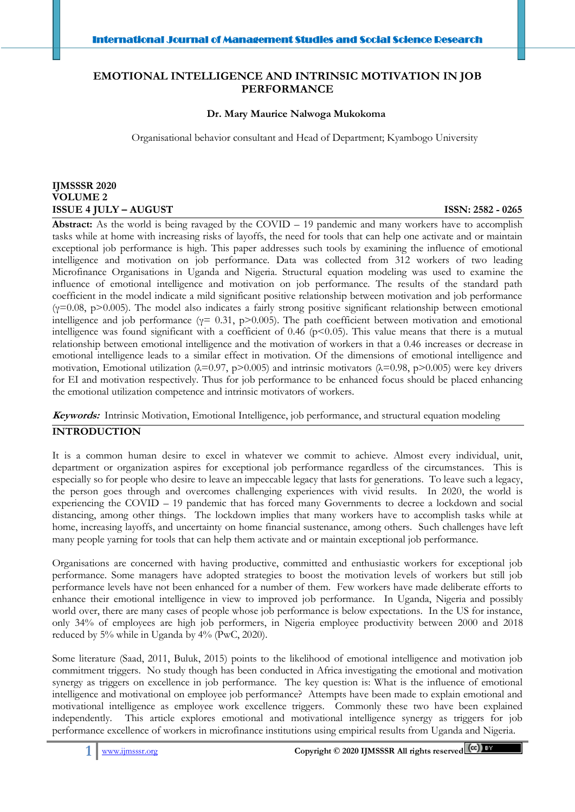# **EMOTIONAL INTELLIGENCE AND INTRINSIC MOTIVATION IN JOB PERFORMANCE**

### **Dr. Mary Maurice Nalwoga Mukokoma**

Organisational behavior consultant and Head of Department; Kyambogo University

# **IJMSSSR 2020 VOLUME 2 ISSUE 4 JULY – AUGUST ISSN: 2582 - 0265**

 Ī

**Abstract:** As the world is being ravaged by the COVID – 19 pandemic and many workers have to accomplish tasks while at home with increasing risks of layoffs, the need for tools that can help one activate and or maintain exceptional job performance is high. This paper addresses such tools by examining the influence of emotional intelligence and motivation on job performance. Data was collected from 312 workers of two leading Microfinance Organisations in Uganda and Nigeria. Structural equation modeling was used to examine the influence of emotional intelligence and motivation on job performance. The results of the standard path coefficient in the model indicate a mild significant positive relationship between motivation and job performance  $(y=0.08, p>0.005)$ . The model also indicates a fairly strong positive significant relationship between emotional intelligence and job performance ( $\gamma$ = 0.31, p>0.005). The path coefficient between motivation and emotional intelligence was found significant with a coefficient of  $0.46$  (p<0.05). This value means that there is a mutual relationship between emotional intelligence and the motivation of workers in that a 0.46 increases or decrease in emotional intelligence leads to a similar effect in motivation. Of the dimensions of emotional intelligence and motivation, Emotional utilization ( $\lambda$ =0.97, p>0.005) and intrinsic motivators ( $\lambda$ =0.98, p>0.005) were key drivers for EI and motivation respectively. Thus for job performance to be enhanced focus should be placed enhancing the emotional utilization competence and intrinsic motivators of workers.

**Keywords:** Intrinsic Motivation, Emotional Intelligence, job performance, and structural equation modeling

# **INTRODUCTION**

It is a common human desire to excel in whatever we commit to achieve. Almost every individual, unit, department or organization aspires for exceptional job performance regardless of the circumstances. This is especially so for people who desire to leave an impeccable legacy that lasts for generations. To leave such a legacy, the person goes through and overcomes challenging experiences with vivid results. In 2020, the world is experiencing the COVID – 19 pandemic that has forced many Governments to decree a lockdown and social distancing, among other things. The lockdown implies that many workers have to accomplish tasks while at home, increasing layoffs, and uncertainty on home financial sustenance, among others. Such challenges have left many people yarning for tools that can help them activate and or maintain exceptional job performance.

Organisations are concerned with having productive, committed and enthusiastic workers for exceptional job performance. Some managers have adopted strategies to boost the motivation levels of workers but still job performance levels have not been enhanced for a number of them. Few workers have made deliberate efforts to enhance their emotional intelligence in view to improved job performance. In Uganda, Nigeria and possibly world over, there are many cases of people whose job performance is below expectations. In the US for instance, only 34% of employees are high job performers, in Nigeria employee productivity between 2000 and 2018 reduced by 5% while in Uganda by 4% (PwC, 2020).

Some literature (Saad, 2011, Buluk, 2015) points to the likelihood of emotional intelligence and motivation job commitment triggers. No study though has been conducted in Africa investigating the emotional and motivation synergy as triggers on excellence in job performance. The key question is: What is the influence of emotional intelligence and motivational on employee job performance? Attempts have been made to explain emotional and motivational intelligence as employee work excellence triggers. Commonly these two have been explained independently. This article explores emotional and motivational intelligence synergy as triggers for job performance excellence of workers in microfinance institutions using empirical results from Uganda and Nigeria.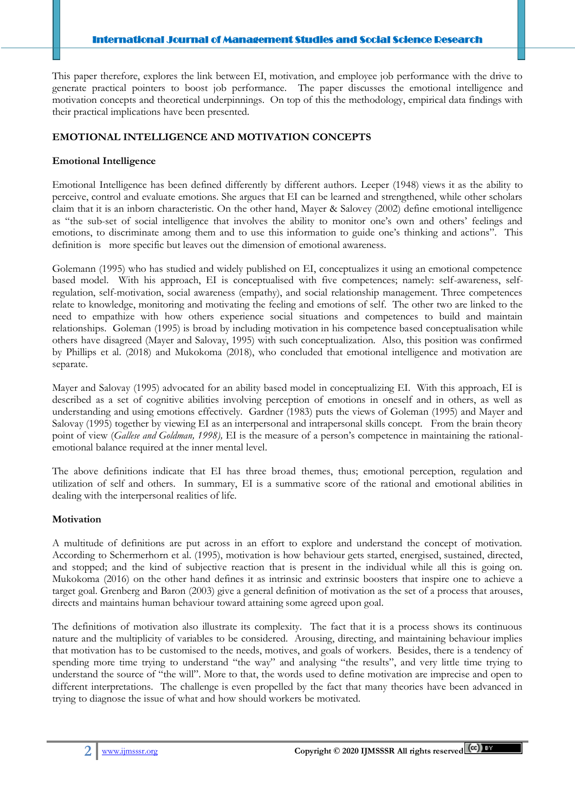This paper therefore, explores the link between EI, motivation, and employee job performance with the drive to generate practical pointers to boost job performance. The paper discusses the emotional intelligence and motivation concepts and theoretical underpinnings. On top of this the methodology, empirical data findings with their practical implications have been presented.

# **EMOTIONAL INTELLIGENCE AND MOTIVATION CONCEPTS**

## **Emotional Intelligence**

 Ī

Emotional Intelligence has been defined differently by different authors. Leeper (1948) views it as the ability to perceive, control and evaluate emotions. She argues that EI can be learned and strengthened, while other scholars claim that it is an inborn characteristic. On the other hand, Mayer & Salovey (2002) define emotional intelligence as "the sub-set of social intelligence that involves the ability to monitor one's own and others' feelings and emotions, to discriminate among them and to use this information to guide one's thinking and actions". This definition is more specific but leaves out the dimension of emotional awareness.

Golemann (1995) who has studied and widely published on EI, conceptualizes it using an emotional competence based model. With his approach, EI is conceptualised with five competences; namely: self-awareness, selfregulation, self-motivation, social awareness (empathy), and social relationship management. Three competences relate to knowledge, monitoring and motivating the feeling and emotions of self. The other two are linked to the need to empathize with how others experience social situations and competences to build and maintain relationships. Goleman (1995) is broad by including motivation in his competence based conceptualisation while others have disagreed (Mayer and Salovay, 1995) with such conceptualization. Also, this position was confirmed by Phillips et al. (2018) and Mukokoma (2018), who concluded that emotional intelligence and motivation are separate.

Mayer and Salovay (1995) advocated for an ability based model in conceptualizing EI. With this approach, EI is described as a set of cognitive abilities involving perception of emotions in oneself and in others, as well as understanding and using emotions effectively. Gardner (1983) puts the views of Goleman (1995) and Mayer and Salovay (1995) together by viewing EI as an interpersonal and intrapersonal skills concept. From the brain theory point of view (*Gallese and Goldman, 1998),* EI is the measure of a person's competence in maintaining the rationalemotional balance required at the inner mental level.

The above definitions indicate that EI has three broad themes, thus; emotional perception, regulation and utilization of self and others. In summary, EI is a summative score of the rational and emotional abilities in dealing with the interpersonal realities of life.

## **Motivation**

A multitude of definitions are put across in an effort to explore and understand the concept of motivation. According to Schermerhorn et al. (1995), motivation is how behaviour gets started, energised, sustained, directed, and stopped; and the kind of subjective reaction that is present in the individual while all this is going on. Mukokoma (2016) on the other hand defines it as intrinsic and extrinsic boosters that inspire one to achieve a target goal. Grenberg and Baron (2003) give a general definition of motivation as the set of a process that arouses, directs and maintains human behaviour toward attaining some agreed upon goal.

The definitions of motivation also illustrate its complexity. The fact that it is a process shows its continuous nature and the multiplicity of variables to be considered. Arousing, directing, and maintaining behaviour implies that motivation has to be customised to the needs, motives, and goals of workers. Besides, there is a tendency of spending more time trying to understand "the way" and analysing "the results", and very little time trying to understand the source of "the will". More to that, the words used to define motivation are imprecise and open to different interpretations. The challenge is even propelled by the fact that many theories have been advanced in trying to diagnose the issue of what and how should workers be motivated.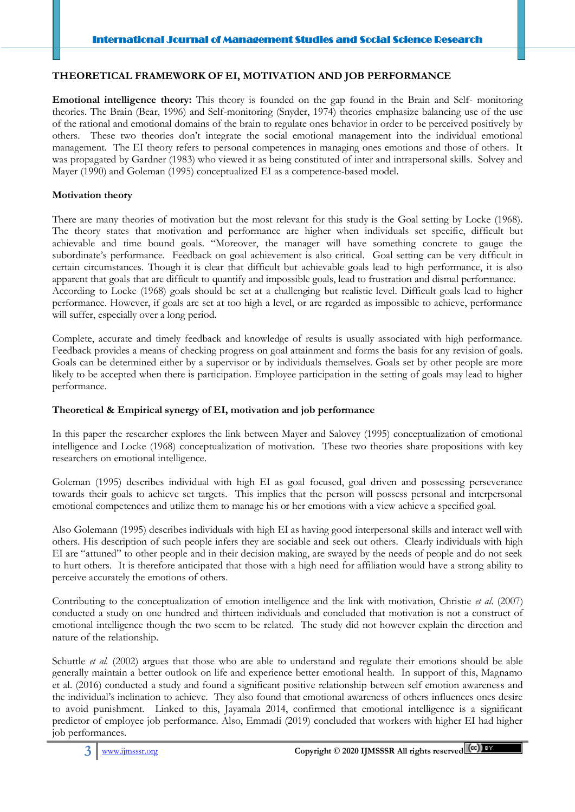## **THEORETICAL FRAMEWORK OF EI, MOTIVATION AND JOB PERFORMANCE**

**Emotional intelligence theory:** This theory is founded on the gap found in the Brain and Self- monitoring theories. The Brain (Bear, 1996) and Self-monitoring (Snyder, 1974) theories emphasize balancing use of the use of the rational and emotional domains of the brain to regulate ones behavior in order to be perceived positively by others. These two theories don't integrate the social emotional management into the individual emotional management. The EI theory refers to personal competences in managing ones emotions and those of others. It was propagated by Gardner (1983) who viewed it as being constituted of inter and intrapersonal skills. Solvey and Mayer (1990) and Goleman (1995) conceptualized EI as a competence-based model.

# **Motivation theory**

 Ī

There are many theories of motivation but the most relevant for this study is the Goal setting by Locke (1968). The theory states that motivation and performance are higher when individuals set specific, difficult but achievable and time bound goals. "Moreover, the manager will have something concrete to gauge the subordinate's performance. Feedback on goal achievement is also critical. Goal setting can be very difficult in certain circumstances. Though it is clear that difficult but achievable goals lead to high performance, it is also apparent that goals that are difficult to quantify and impossible goals, lead to frustration and dismal performance. According to Locke (1968) goals should be set at a challenging but realistic level. Difficult goals lead to higher performance. However, if goals are set at too high a level, or are regarded as impossible to achieve, performance will suffer, especially over a long period.

Complete, accurate and timely feedback and knowledge of results is usually associated with high performance. Feedback provides a means of checking progress on goal attainment and forms the basis for any revision of goals. Goals can be determined either by a supervisor or by individuals themselves. Goals set by other people are more likely to be accepted when there is participation. Employee participation in the setting of goals may lead to higher performance.

## **Theoretical & Empirical synergy of EI, motivation and job performance**

In this paper the researcher explores the link between Mayer and Salovey (1995) conceptualization of emotional intelligence and Locke (1968) conceptualization of motivation. These two theories share propositions with key researchers on emotional intelligence.

Goleman (1995) describes individual with high EI as goal focused, goal driven and possessing perseverance towards their goals to achieve set targets. This implies that the person will possess personal and interpersonal emotional competences and utilize them to manage his or her emotions with a view achieve a specified goal.

Also Golemann (1995) describes individuals with high EI as having good interpersonal skills and interact well with others. His description of such people infers they are sociable and seek out others. Clearly individuals with high EI are "attuned" to other people and in their decision making, are swayed by the needs of people and do not seek to hurt others. It is therefore anticipated that those with a high need for affiliation would have a strong ability to perceive accurately the emotions of others.

Contributing to the conceptualization of emotion intelligence and the link with motivation, Christie *et al*. (2007) conducted a study on one hundred and thirteen individuals and concluded that motivation is not a construct of emotional intelligence though the two seem to be related. The study did not however explain the direction and nature of the relationship.

Schuttle *et al.* (2002) argues that those who are able to understand and regulate their emotions should be able generally maintain a better outlook on life and experience better emotional health. In support of this, Magnamo et al. (2016) conducted a study and found a significant positive relationship between self emotion awareness and the individual's inclination to achieve. They also found that emotional awareness of others influences ones desire to avoid punishment. Linked to this, Jayamala 2014, confirmed that emotional intelligence is a significant predictor of employee job performance. Also, Emmadi (2019) concluded that workers with higher EI had higher job performances.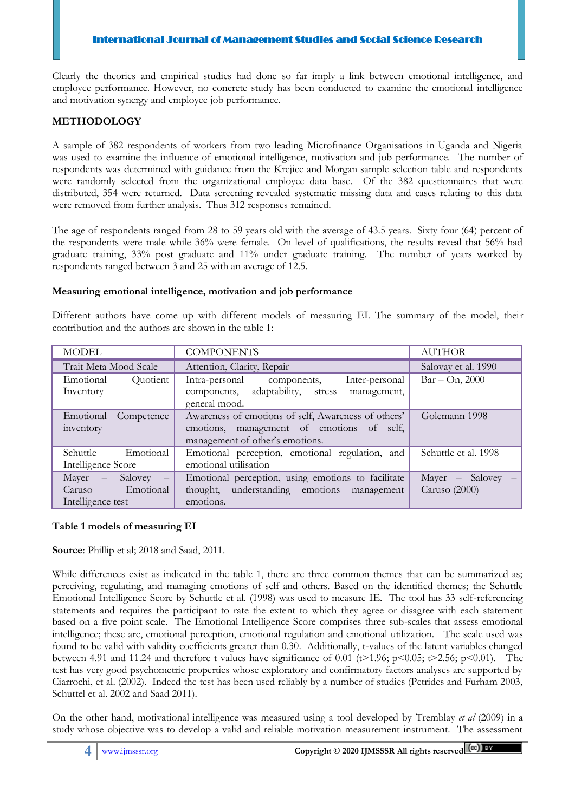Clearly the theories and empirical studies had done so far imply a link between emotional intelligence, and employee performance. However, no concrete study has been conducted to examine the emotional intelligence and motivation synergy and employee job performance.

# **METHODOLOGY**

 Ī

A sample of 382 respondents of workers from two leading Microfinance Organisations in Uganda and Nigeria was used to examine the influence of emotional intelligence, motivation and job performance. The number of respondents was determined with guidance from the Krejice and Morgan sample selection table and respondents were randomly selected from the organizational employee data base. Of the 382 questionnaires that were distributed, 354 were returned. Data screening revealed systematic missing data and cases relating to this data were removed from further analysis. Thus 312 responses remained.

The age of respondents ranged from 28 to 59 years old with the average of 43.5 years. Sixty four (64) percent of the respondents were male while 36% were female. On level of qualifications, the results reveal that 56% had graduate training, 33% post graduate and 11% under graduate training. The number of years worked by respondents ranged between 3 and 25 with an average of 12.5.

## **Measuring emotional intelligence, motivation and job performance**

Different authors have come up with different models of measuring EI. The summary of the model, their contribution and the authors are shown in the table 1:

| <b>MODEL</b>                                                                                       | <b>AUTHOR</b>                                                                                                                       |                                      |  |  |
|----------------------------------------------------------------------------------------------------|-------------------------------------------------------------------------------------------------------------------------------------|--------------------------------------|--|--|
| Trait Meta Mood Scale                                                                              | Attention, Clarity, Repair                                                                                                          | Salovay et al. 1990                  |  |  |
| Emotional<br><i><u><b>Ouotient</b></u></i><br>Inventory                                            | Intra-personal components,<br>Inter-personal<br>adaptability, stress<br>components,<br>management,<br>general mood.                 | $Bar - On, 2000$                     |  |  |
| Emotional<br>Competence<br>inventory                                                               | Awareness of emotions of self, Awareness of others'<br>emotions, management of emotions of self,<br>management of other's emotions. | Golemann 1998                        |  |  |
| <b>Schuttle</b><br>Emotional<br>Intelligence Score                                                 | Emotional perception, emotional regulation, and<br>emotional utilisation                                                            | Schuttle et al. 1998                 |  |  |
| Salovey<br>Mayer<br>$\sim$<br>$\overline{\phantom{m}}$<br>Emotional<br>Caruso<br>Intelligence test | Emotional perception, using emotions to facilitate<br>thought, understanding emotions<br>management<br>emotions.                    | $Mayer - Salovey -$<br>Caruso (2000) |  |  |

# **Table 1 models of measuring EI**

**Source**: Phillip et al; 2018 and Saad, 2011.

While differences exist as indicated in the table 1, there are three common themes that can be summarized as; perceiving, regulating, and managing emotions of self and others. Based on the identified themes; the Schuttle Emotional Intelligence Score by Schuttle et al. (1998) was used to measure IE. The tool has 33 self-referencing statements and requires the participant to rate the extent to which they agree or disagree with each statement based on a five point scale. The Emotional Intelligence Score comprises three sub-scales that assess emotional intelligence; these are, emotional perception, emotional regulation and emotional utilization. The scale used was found to be valid with validity coefficients greater than 0.30. Additionally, t-values of the latent variables changed between 4.91 and 11.24 and therefore t values have significance of 0.01 (t>1.96; p<0.05; t>2.56; p<0.01). The test has very good psychometric properties whose exploratory and confirmatory factors analyses are supported by Ciarrochi, et al. (2002). Indeed the test has been used reliably by a number of studies (Petrides and Furham 2003, Schuttel et al. 2002 and Saad 2011).

On the other hand, motivational intelligence was measured using a tool developed by Tremblay *et al* (2009) in a study whose objective was to develop a valid and reliable motivation measurement instrument. The assessment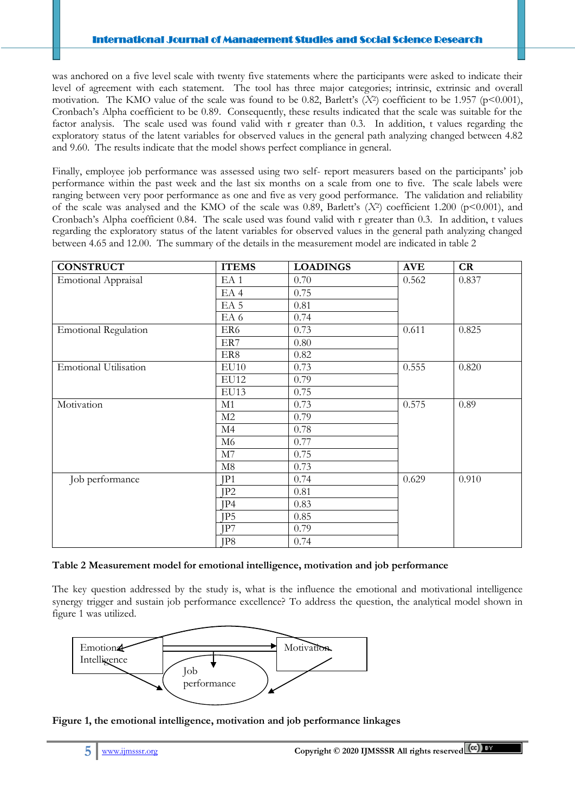### International Journal of Management Studies and Social Science Research

was anchored on a five level scale with twenty five statements where the participants were asked to indicate their level of agreement with each statement. The tool has three major categories; intrinsic, extrinsic and overall motivation. The KMO value of the scale was found to be 0.82, Barlett's (*X*<sup>2</sup>) coefficient to be 1.957 (p<0.001), Cronbach's Alpha coefficient to be 0.89. Consequently, these results indicated that the scale was suitable for the factor analysis. The scale used was found valid with r greater than 0.3. In addition, t values regarding the exploratory status of the latent variables for observed values in the general path analyzing changed between 4.82 and 9.60. The results indicate that the model shows perfect compliance in general.

Finally, employee job performance was assessed using two self- report measurers based on the participants' job performance within the past week and the last six months on a scale from one to five. The scale labels were ranging between very poor performance as one and five as very good performance. The validation and reliability of the scale was analysed and the KMO of the scale was 0.89, Barlett's  $(X^2)$  coefficient 1.200 (p<0.001), and Cronbach's Alpha coefficient 0.84. The scale used was found valid with r greater than 0.3. In addition, t values regarding the exploratory status of the latent variables for observed values in the general path analyzing changed between 4.65 and 12.00. The summary of the details in the measurement model are indicated in table 2

| <b>CONSTRUCT</b>             | <b>ITEMS</b>    | <b>LOADINGS</b> | <b>AVE</b> | CR    |
|------------------------------|-----------------|-----------------|------------|-------|
| <b>Emotional Appraisal</b>   | EA <sub>1</sub> | 0.70            | 0.562      | 0.837 |
|                              | EA <sub>4</sub> | 0.75            |            |       |
|                              | EA <sub>5</sub> | 0.81            |            |       |
|                              | EA 6            | 0.74            |            |       |
| <b>Emotional Regulation</b>  | ER6             | 0.73            | 0.611      | 0.825 |
|                              | ER7             | 0.80            |            |       |
|                              | ER8             | 0.82            |            |       |
| <b>Emotional Utilisation</b> | EU10            | 0.73            | 0.555      | 0.820 |
|                              | EU12            | 0.79            |            |       |
|                              | EU13            | 0.75            |            |       |
| Motivation                   | M1              | 0.73            | 0.575      | 0.89  |
|                              | M2              | 0.79            |            |       |
|                              | M4              | 0.78            |            |       |
|                              | M6              | 0.77            |            |       |
|                              | M7              | 0.75            |            |       |
|                              | $\mathbf{M8}$   | 0.73            |            |       |
| Job performance              | JP1             | 0.74            | 0.629      | 0.910 |
|                              | IP2             | 0.81            |            |       |
|                              | JP4             | 0.83            |            |       |
|                              | JP <sub>5</sub> | 0.85            |            |       |
|                              | JP7             | 0.79            |            |       |
|                              | JP8             | 0.74            |            |       |

## **Table 2 Measurement model for emotional intelligence, motivation and job performance**

The key question addressed by the study is, what is the influence the emotional and motivational intelligence synergy trigger and sustain job performance excellence? To address the question, the analytical model shown in figure 1 was utilized.



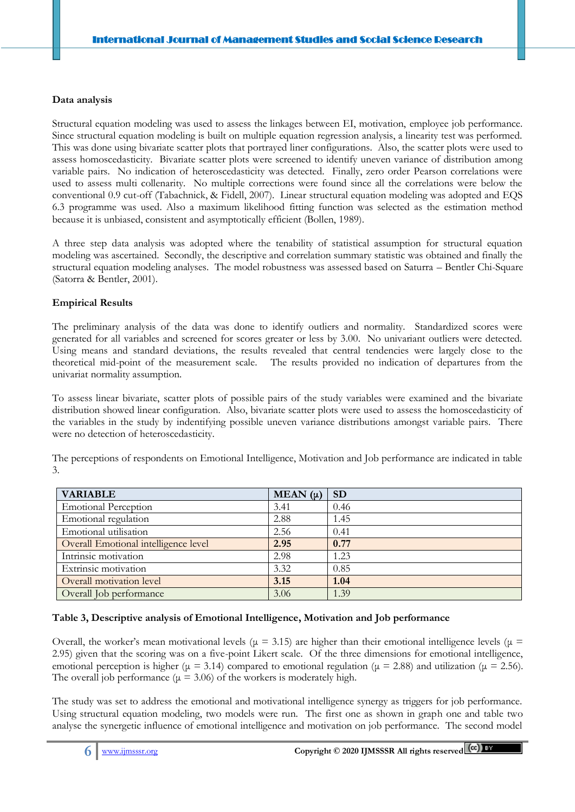## **Data analysis**

 Ī

Structural equation modeling was used to assess the linkages between EI, motivation, employee job performance. Since structural equation modeling is built on multiple equation regression analysis, a linearity test was performed. This was done using bivariate scatter plots that portrayed liner configurations. Also, the scatter plots were used to assess homoscedasticity. Bivariate scatter plots were screened to identify uneven variance of distribution among variable pairs. No indication of heteroscedasticity was detected. Finally, zero order Pearson correlations were used to assess multi collenarity. No multiple corrections were found since all the correlations were below the conventional 0.9 cut-off (Tabachnick, & Fidell, 2007). Linear structural equation modeling was adopted and EQS 6.3 programme was used. Also a maximum likelihood fitting function was selected as the estimation method because it is unbiased, consistent and asymptotically efficient (Bollen, 1989).

A three step data analysis was adopted where the tenability of statistical assumption for structural equation modeling was ascertained. Secondly, the descriptive and correlation summary statistic was obtained and finally the structural equation modeling analyses. The model robustness was assessed based on Saturra – Bentler Chi-Square (Satorra & Bentler, 2001).

# **Empirical Results**

The preliminary analysis of the data was done to identify outliers and normality. Standardized scores were generated for all variables and screened for scores greater or less by 3.00. No univariant outliers were detected. Using means and standard deviations, the results revealed that central tendencies were largely close to the theoretical mid-point of the measurement scale. The results provided no indication of departures from the univariat normality assumption.

To assess linear bivariate, scatter plots of possible pairs of the study variables were examined and the bivariate distribution showed linear configuration. Also, bivariate scatter plots were used to assess the homoscedasticity of the variables in the study by indentifying possible uneven variance distributions amongst variable pairs. There were no detection of heteroscedasticity.

| <b>VARIABLE</b>                      | MEAN $(\mu)$ | <b>SD</b> |
|--------------------------------------|--------------|-----------|
| <b>Emotional Perception</b>          | 3.41         | 0.46      |
| Emotional regulation                 | 2.88         | 1.45      |
| Emotional utilisation                | 2.56         | 0.41      |
| Overall Emotional intelligence level | 2.95         | 0.77      |
| Intrinsic motivation                 | 2.98         | 1.23      |
| Extrinsic motivation                 | 3.32         | 0.85      |
| Overall motivation level             | 3.15         | 1.04      |
| Overall Job performance              | 3.06         | 1.39      |

The perceptions of respondents on Emotional Intelligence, Motivation and Job performance are indicated in table 3.

# **Table 3, Descriptive analysis of Emotional Intelligence, Motivation and Job performance**

Overall, the worker's mean motivational levels (μ = 3.15) are higher than their emotional intelligence levels (μ = 2.95) given that the scoring was on a five-point Likert scale. Of the three dimensions for emotional intelligence, emotional perception is higher (μ = 3.14) compared to emotional regulation (μ = 2.88) and utilization (μ = 2.56). The overall job performance ( $\mu$  = 3.06) of the workers is moderately high.

The study was set to address the emotional and motivational intelligence synergy as triggers for job performance. Using structural equation modeling, two models were run. The first one as shown in graph one and table two analyse the synergetic influence of emotional intelligence and motivation on job performance. The second model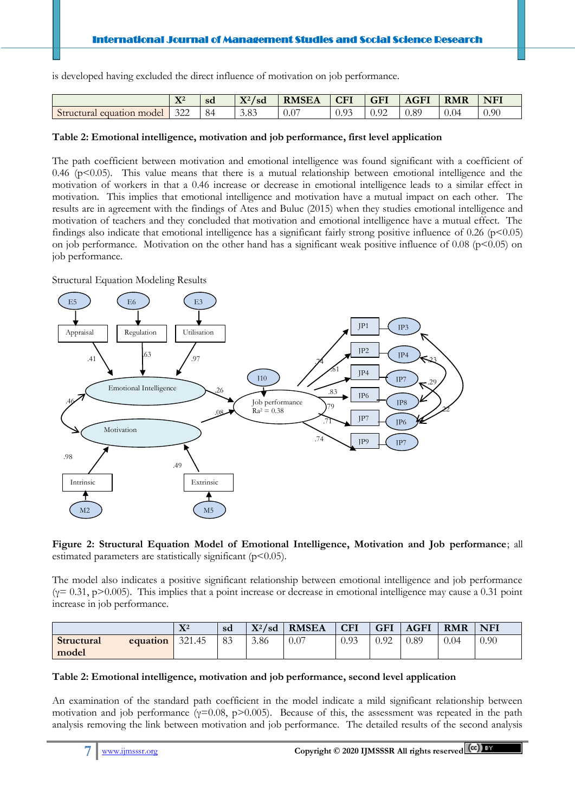is developed having excluded the direct influence of motivation on job performance.

|                           | $\mathbf{v}$<br>$\mathbf{\Lambda}^*$ | sd | $\mathbf{V} \cap I$<br>'sd<br>$\mathbf{\Lambda}^2$ | <b>RMSEA</b> | CFI             | <b>GFI</b> | <b>AGFI</b> | <b>RMR</b> | <b>NFI</b> |
|---------------------------|--------------------------------------|----|----------------------------------------------------|--------------|-----------------|------------|-------------|------------|------------|
| Structural equation model | 322                                  | 84 | 3.83                                               | 0.0          | $\Omega$<br>いっし | 0.92       | 0.89        | 0.04       | 0.90       |

## **Table 2: Emotional intelligence, motivation and job performance, first level application**

The path coefficient between motivation and emotional intelligence was found significant with a coefficient of 0.46 ( $p \le 0.05$ ). This value means that there is a mutual relationship between emotional intelligence and the motivation of workers in that a 0.46 increase or decrease in emotional intelligence leads to a similar effect in motivation. This implies that emotional intelligence and motivation have a mutual impact on each other. The results are in agreement with the findings of Ates and Buluc (2015) when they studies emotional intelligence and motivation of teachers and they concluded that motivation and emotional intelligence have a mutual effect. The findings also indicate that emotional intelligence has a significant fairly strong positive influence of 0.26 ( $p<0.05$ ) on job performance. Motivation on the other hand has a significant weak positive influence of 0.08 ( $p<0.05$ ) on job performance.

Structural Equation Modeling Results

 Ī



**Figure 2: Structural Equation Model of Emotional Intelligence, Motivation and Job performance**; all estimated parameters are statistically significant  $(p<0.05)$ .

The model also indicates a positive significant relationship between emotional intelligence and job performance  $(y= 0.31, p>0.005)$ . This implies that a point increase or decrease in emotional intelligence may cause a 0.31 point increase in job performance.

|            |          | ${\bf X}^2$ | sd | $X^2/sd$ | <b>RMSEA</b> | <b>CFI</b> | <b>GFI</b> | <b>AGFI</b> | <b>RMR</b> | <b>NFI</b> |
|------------|----------|-------------|----|----------|--------------|------------|------------|-------------|------------|------------|
| Structural | equation | 321.45      | 83 | 3.86     | 0.07         | 0.93       | 0.92       | 0.89        | 0.04       | 0.90       |
| model      |          |             |    |          |              |            |            |             |            |            |

# **Table 2: Emotional intelligence, motivation and job performance, second level application**

An examination of the standard path coefficient in the model indicate a mild significant relationship between motivation and job performance ( $\gamma$ =0.08, p>0.005). Because of this, the assessment was repeated in the path analysis removing the link between motivation and job performance. The detailed results of the second analysis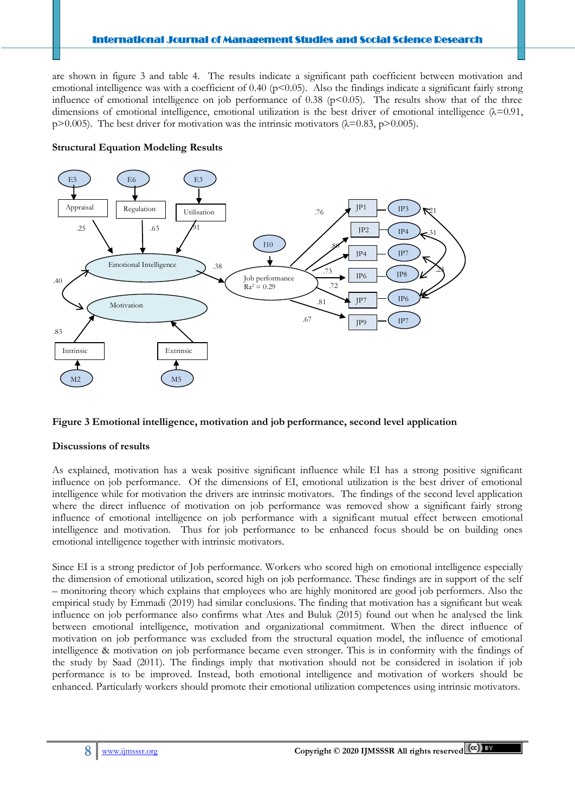are shown in figure 3 and table 4. The results indicate a significant path coefficient between motivation and emotional intelligence was with a coefficient of 0.40 ( $p<0.05$ ). Also the findings indicate a significant fairly strong influence of emotional intelligence on job performance of 0.38 ( $p<0.05$ ). The results show that of the three dimensions of emotional intelligence, emotional utilization is the best driver of emotional intelligence  $(\lambda=0.91,$ p>0.005). The best driver for motivation was the intrinsic motivators  $(\lambda=0.83, p>0.005)$ .

## **Structural Equation Modeling Results**

 Ī



# **Figure 3 Emotional intelligence, motivation and job performance, second level application**

# **Discussions of results**

As explained, motivation has a weak positive significant influence while EI has a strong positive significant influence on job performance. Of the dimensions of EI, emotional utilization is the best driver of emotional intelligence while for motivation the drivers are intrinsic motivators. The findings of the second level application where the direct influence of motivation on job performance was removed show a significant fairly strong influence of emotional intelligence on job performance with a significant mutual effect between emotional intelligence and motivation. Thus for job performance to be enhanced focus should be on building ones emotional intelligence together with intrinsic motivators.

Since EI is a strong predictor of Job performance. Workers who scored high on emotional intelligence especially the dimension of emotional utilization, scored high on job performance. These findings are in support of the self – monitoring theory which explains that employees who are highly monitored are good job performers. Also the empirical study by Emmadi (2019) had similar conclusions. The finding that motivation has a significant but weak influence on job performance also confirms what Ates and Buluk (2015) found out when he analysed the link between emotional intelligence, motivation and organizational commitment. When the direct influence of motivation on job performance was excluded from the structural equation model, the influence of emotional intelligence & motivation on job performance became even stronger. This is in conformity with the findings of the study by Saad (2011). The findings imply that motivation should not be considered in isolation if job performance is to be improved. Instead, both emotional intelligence and motivation of workers should be enhanced. Particularly workers should promote their emotional utilization competences using intrinsic motivators.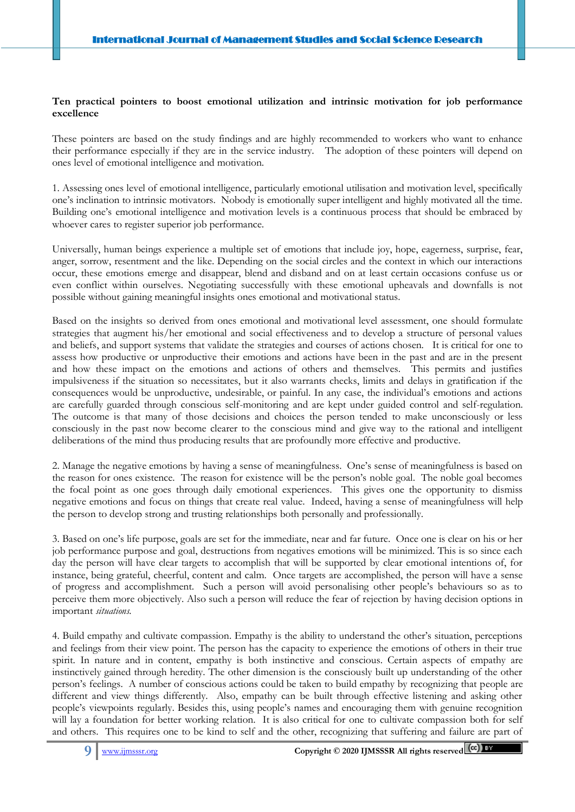## **Ten practical pointers to boost emotional utilization and intrinsic motivation for job performance excellence**

These pointers are based on the study findings and are highly recommended to workers who want to enhance their performance especially if they are in the service industry. The adoption of these pointers will depend on ones level of emotional intelligence and motivation.

1. Assessing ones level of emotional intelligence, particularly emotional utilisation and motivation level, specifically one's inclination to intrinsic motivators. Nobody is emotionally super intelligent and highly motivated all the time. Building one's emotional intelligence and motivation levels is a continuous process that should be embraced by whoever cares to register superior job performance.

Universally, human beings experience a multiple set of emotions that include joy, hope, eagerness, surprise, fear, anger, sorrow, resentment and the like. Depending on the social circles and the context in which our interactions occur, these emotions emerge and disappear, blend and disband and on at least certain occasions confuse us or even conflict within ourselves. Negotiating successfully with these emotional upheavals and downfalls is not possible without gaining meaningful insights ones emotional and motivational status.

Based on the insights so derived from ones emotional and motivational level assessment, one should formulate strategies that augment his/her emotional and social effectiveness and to develop a structure of personal values and beliefs, and support systems that validate the strategies and courses of actions chosen. It is critical for one to assess how productive or unproductive their emotions and actions have been in the past and are in the present and how these impact on the emotions and actions of others and themselves. This permits and justifies impulsiveness if the situation so necessitates, but it also warrants checks, limits and delays in gratification if the consequences would be unproductive, undesirable, or painful. In any case, the individual's emotions and actions are carefully guarded through conscious self-monitoring and are kept under guided control and self-regulation. The outcome is that many of those decisions and choices the person tended to make unconsciously or less consciously in the past now become clearer to the conscious mind and give way to the rational and intelligent deliberations of the mind thus producing results that are profoundly more effective and productive.

2. Manage the negative emotions by having a sense of meaningfulness. One's sense of meaningfulness is based on the reason for ones existence. The reason for existence will be the person's noble goal. The noble goal becomes the focal point as one goes through daily emotional experiences. This gives one the opportunity to dismiss negative emotions and focus on things that create real value. Indeed, having a sense of meaningfulness will help the person to develop strong and trusting relationships both personally and professionally.

3. Based on one's life purpose, goals are set for the immediate, near and far future. Once one is clear on his or her job performance purpose and goal, destructions from negatives emotions will be minimized. This is so since each day the person will have clear targets to accomplish that will be supported by clear emotional intentions of, for instance, being grateful, cheerful, content and calm. Once targets are accomplished, the person will have a sense of progress and accomplishment. Such a person will avoid personalising other people's behaviours so as to perceive them more objectively. Also such a person will reduce the fear of rejection by having decision options in important *situations.*

4. Build empathy and cultivate compassion. Empathy is the ability to understand the other's situation, perceptions and feelings from their view point. The person has the capacity to experience the emotions of others in their true spirit. In nature and in content, empathy is both instinctive and conscious. Certain aspects of empathy are instinctively gained through heredity. The other dimension is the consciously built up understanding of the other person's feelings. A number of conscious actions could be taken to build empathy by recognizing that people are different and view things differently. Also, empathy can be built through effective listening and asking other people's viewpoints regularly. Besides this, using people's names and encouraging them with genuine recognition will lay a foundation for better working relation. It is also critical for one to cultivate compassion both for self and others. This requires one to be kind to self and the other, recognizing that suffering and failure are part of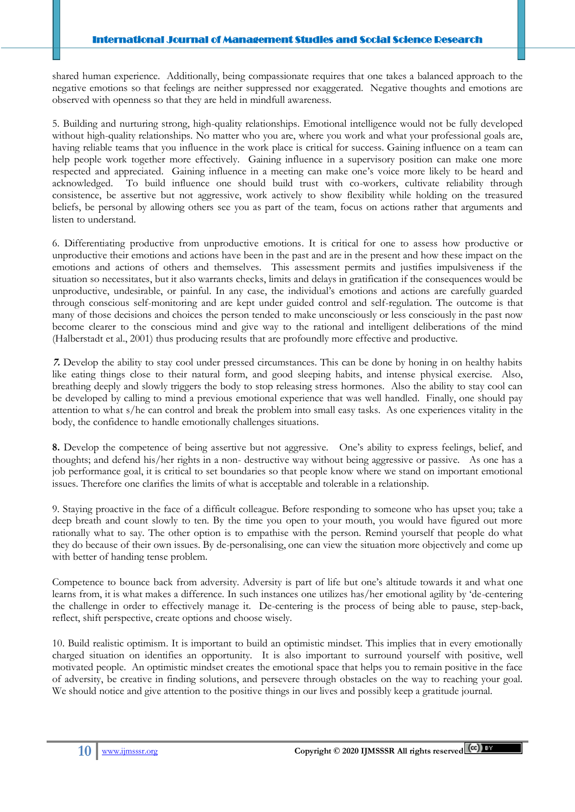shared human experience. Additionally, being compassionate requires that one takes a balanced approach to the negative emotions so that feelings are neither suppressed nor exaggerated. Negative thoughts and emotions are observed with openness so that they are held in mindfull awareness.

5. Building and nurturing strong, high-quality relationships. Emotional intelligence would not be fully developed without high-quality relationships. No matter who you are, where you work and what your professional goals are, having reliable teams that you influence in the work place is critical for success. Gaining influence on a team can help people work together more effectively. Gaining influence in a supervisory position can make one more respected and appreciated. Gaining influence in a meeting can make one's voice more likely to be heard and acknowledged. To build influence one should build trust with co-workers, cultivate reliability through consistence, be assertive but not aggressive, work actively to show flexibility while holding on the treasured beliefs, be personal by allowing others see you as part of the team, focus on actions rather that arguments and listen to understand.

6. Differentiating productive from unproductive emotions. It is critical for one to assess how productive or unproductive their emotions and actions have been in the past and are in the present and how these impact on the emotions and actions of others and themselves. This assessment permits and justifies impulsiveness if the situation so necessitates, but it also warrants checks, limits and delays in gratification if the consequences would be unproductive, undesirable, or painful. In any case, the individual's emotions and actions are carefully guarded through conscious self-monitoring and are kept under guided control and self-regulation. The outcome is that many of those decisions and choices the person tended to make unconsciously or less consciously in the past now become clearer to the conscious mind and give way to the rational and intelligent deliberations of the mind (Halberstadt et al., 2001) thus producing results that are profoundly more effective and productive.

**7.** Develop the ability to stay cool under pressed circumstances. This can be done by honing in on healthy habits like eating things close to their natural form, and good sleeping habits, and intense physical exercise. Also, breathing deeply and slowly triggers the body to stop releasing stress hormones. Also the ability to stay cool can be developed by calling to mind a previous emotional experience that was well handled. Finally, one should pay attention to what s/he can control and break the problem into small easy tasks. As one experiences vitality in the body, the confidence to handle emotionally challenges situations.

**8.** Develop the competence of being assertive but not aggressive. One's ability to express feelings, belief, and thoughts; and defend his/her rights in a non- destructive way without being aggressive or passive. As one has a job performance goal, it is critical to set boundaries so that people know where we stand on important emotional issues. Therefore one clarifies the limits of what is acceptable and tolerable in a relationship.

9. Staying proactive in the face of a difficult colleague. Before responding to someone who has upset you; take a deep breath and count slowly to ten. By the time you open to your mouth, you would have figured out more rationally what to say. The other option is to empathise with the person. Remind yourself that people do what they do because of their own issues. By de-personalising, one can view the situation more objectively and come up with better of handing tense problem.

Competence to bounce back from adversity. Adversity is part of life but one's altitude towards it and what one learns from, it is what makes a difference. In such instances one utilizes has/her emotional agility by 'de-centering the challenge in order to effectively manage it. De-centering is the process of being able to pause, step-back, reflect, shift perspective, create options and choose wisely.

10. Build realistic optimism. It is important to build an optimistic mindset. This implies that in every emotionally charged situation on identifies an opportunity. It is also important to surround yourself with positive, well motivated people. An optimistic mindset creates the emotional space that helps you to remain positive in the face of adversity, be creative in finding solutions, and persevere through obstacles on the way to reaching your goal. We should notice and give attention to the positive things in our lives and possibly keep a gratitude journal.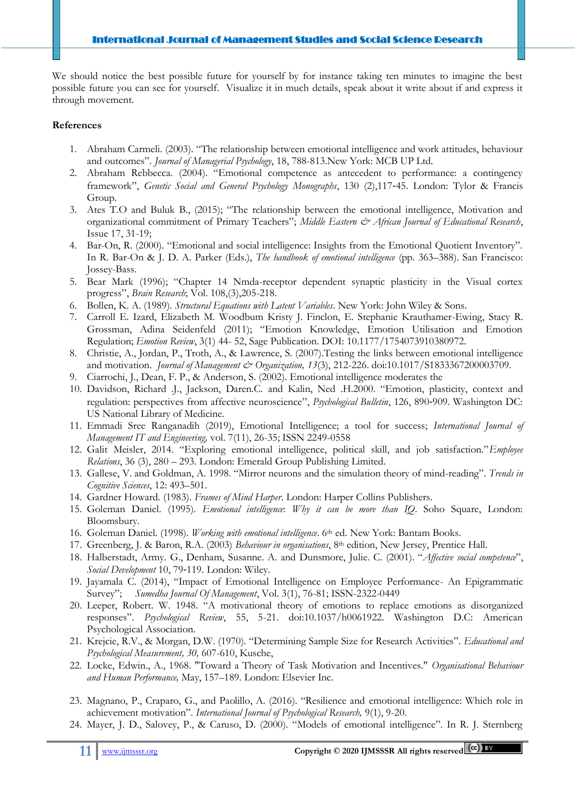We should notice the best possible future for yourself by for instance taking ten minutes to imagine the best possible future you can see for yourself. Visualize it in much details, speak about it write about if and express it through movement.

## **References**

- 1. Abraham Carmeli. (2003). "The relationship between emotional intelligence and work attitudes, behaviour and outcomes". *Journal of Managerial Psychology*, 18, 788-813.New York: MCB UP Ltd.
- 2. Abraham Rebbecca. (2004). "Emotional competence as antecedent to performance: a contingency framework", *Genetic Social and General Psychology Monographs*, 130 (2),117‐45. London: Tylor & Francis Group.
- 3. Ates T.O and Buluk B., (2015); "The relationship between the emotional intelligence, Motivation and organizational commitment of Primary Teachers"; Middle Eastern & African Journal of Educational Research, Issue 17, 31-19;
- 4. Bar-On, R. (2000). "Emotional and social intelligence: Insights from the Emotional Quotient Inventory". In R. Bar-On & J. D. A. Parker (Eds.), *The handbook of emotional intelligence* (pp. 363–388). San Francisco: Jossey-Bass.
- 5. Bear Mark (1996); "Chapter 14 Nmda-receptor dependent synaptic plasticity in the Visual cortex progress", *Brain Research*; Vol. 108,(3),205-218.
- 6. Bollen, K. A. (1989). *Structural Equations with Latent Variables*. New York: John Wiley & Sons.
- 7. Carroll E. Izard, Elizabeth M. Woodbum Kristy J. Finclon, E. Stephanie Krauthamer-Ewing, Stacy R. Grossman, Adina Seidenfeld (2011); "Emotion Knowledge, Emotion Utilisation and Emotion Regulation; *Emotion Review*, 3(1) 44- 52, Sage Publication. DOI: 10.1177/1754073910380972.
- 8. Christie, A., Jordan, P., Troth, A., & Lawrence, S. (2007).Testing the links between emotional intelligence and motivation. *Journal of Management & Organization, 13*(3), 212-226. doi:10.1017/S1833367200003709.
- 9. Ciarrochi, J., Dean, F. P., & Anderson, S. (2002). Emotional intelligence moderates the
- 10. Davidson, Richard .J., Jackson, Daren.C. and Kalin, Ned .H.2000. "Emotion, plasticity, context and regulation: perspectives from affective neuroscience", *Psychological Bulletin*, 126, 890‐909. Washington DC: US National Library of Medicine.
- 11. Emmadi Sree Ranganadih (2019), Emotional Intelligence; a tool for success; *International Journal of Management IT and Engineering,* vol. 7(11), 26-35; ISSN 2249-0558
- 12. Galit Meisler, 2014. "Exploring emotional intelligence, political skill, and job satisfaction."*Employee Relations*, 36 (3), 280 – 293. London: Emerald Group Publishing Limited.
- 13. Gallese, V. and Goldman, A. 1998. "Mirror neurons and the simulation theory of mind-reading". *Trends in Cognitive Sciences*, 12: 493–501.
- 14. Gardner Howard. (1983). *Frames of Mind Harper*. London: Harper Collins Publishers.
- 15. Goleman Daniel. (1995). *Emotional intelligence*: *Why it can be more than IQ*. Soho Square, London: Bloomsbury.
- 16. Goleman Daniel. (1998). *Working with emotional intelligence*. 6th ed. New York: Bantam Books.
- 17. Greenberg, J. & Baron, R.A. (2003) *Behaviour in organisations*, 8th edition, New Jersey, Prentice Hall.
- 18. Halberstadt, Army. G., Denham, Susanne. A. and Dunsmore, Julie. C. (2001). "*Affective social competence*", *Social Development* 10, 79‐119. London: Wiley.
- 19. Jayamala C. (2014), "Impact of Emotional Intelligence on Employee Performance- An Epigrammatic Survey"; *Sumedha Journal Of Management*, Vol. 3(1), 76-81; ISSN-2322-0449
- 20. Leeper, Robert. W. 1948. "A motivational theory of emotions to replace emotions as disorganized responses". *Psychological Review*, 55, 5-21. doi:10.1037/h0061922. Washington D.C: American Psychological Association.
- 21. Krejcie, R.V., & Morgan, D.W. (1970). "Determining Sample Size for Research Activities". *Educational and Psychological Measurement, 30,* 607-610, Kusche,
- 22. Locke, Edwin., A., 1968. "Toward a Theory of Task Motivation and Incentives." *Organisational Behaviour and Human Performance,* May, 157–189. London: Elsevier Inc.
- 23. Magnano, P., Craparo, G., and Paolillo, A. (2016). "Resilience and emotional intelligence: Which role in achievement motivation". *International Journal of Psychological Research,* 9(1), 9-20.
- 24. Mayer, J. D., Salovey, P., & Caruso, D. (2000). "Models of emotional intelligence". In R. J. Sternberg